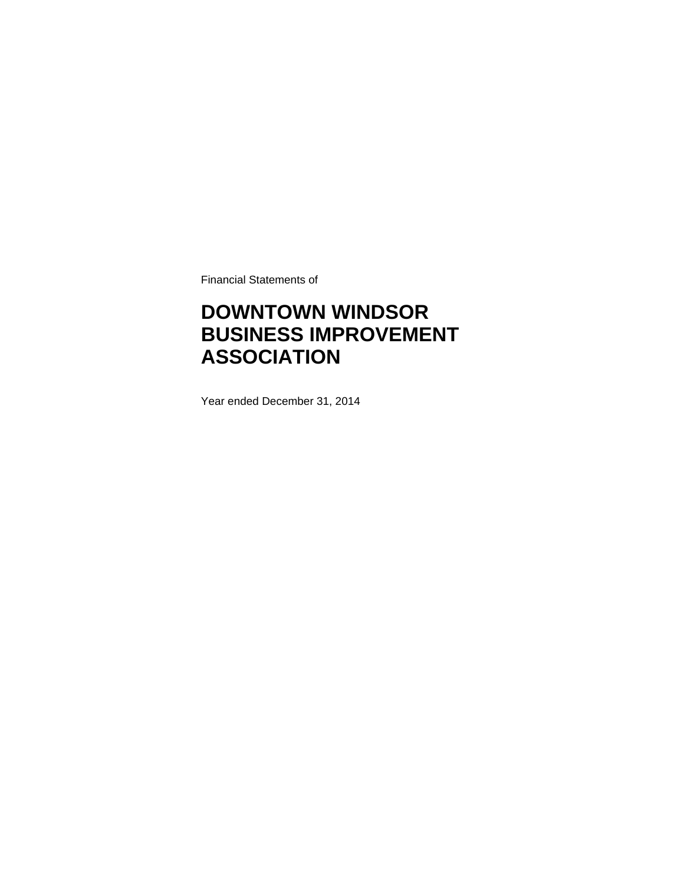Financial Statements of

# **DOWNTOWN WINDSOR BUSINESS IMPROVEMENT ASSOCIATION**

Year ended December 31, 2014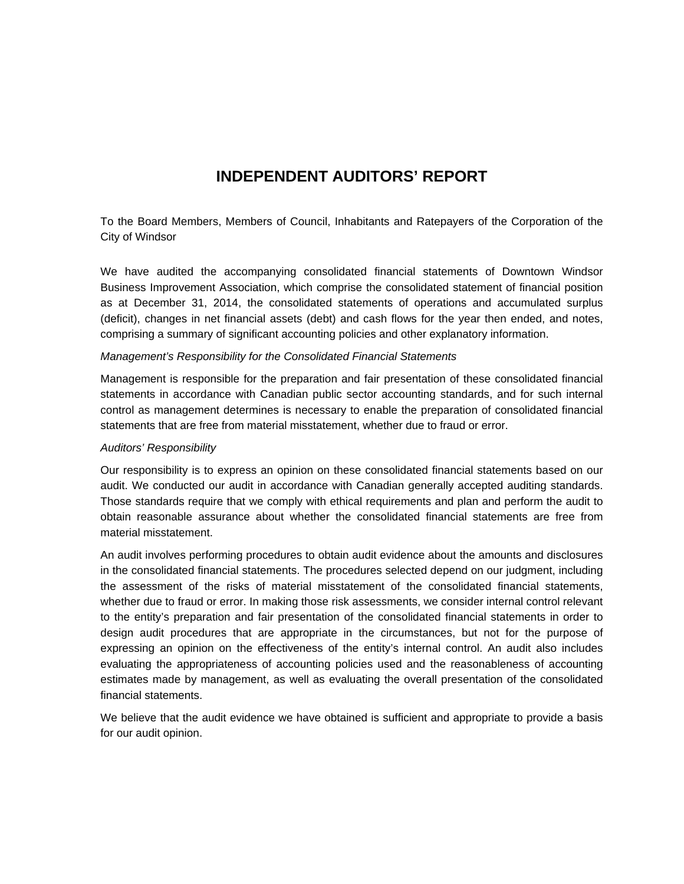## **INDEPENDENT AUDITORS' REPORT**

To the Board Members, Members of Council, Inhabitants and Ratepayers of the Corporation of the City of Windsor

We have audited the accompanying consolidated financial statements of Downtown Windsor Business Improvement Association, which comprise the consolidated statement of financial position as at December 31, 2014, the consolidated statements of operations and accumulated surplus (deficit), changes in net financial assets (debt) and cash flows for the year then ended, and notes, comprising a summary of significant accounting policies and other explanatory information.

### *Management's Responsibility for the Consolidated Financial Statements*

Management is responsible for the preparation and fair presentation of these consolidated financial statements in accordance with Canadian public sector accounting standards, and for such internal control as management determines is necessary to enable the preparation of consolidated financial statements that are free from material misstatement, whether due to fraud or error.

### *Auditors' Responsibility*

Our responsibility is to express an opinion on these consolidated financial statements based on our audit. We conducted our audit in accordance with Canadian generally accepted auditing standards. Those standards require that we comply with ethical requirements and plan and perform the audit to obtain reasonable assurance about whether the consolidated financial statements are free from material misstatement.

An audit involves performing procedures to obtain audit evidence about the amounts and disclosures in the consolidated financial statements. The procedures selected depend on our judgment, including the assessment of the risks of material misstatement of the consolidated financial statements, whether due to fraud or error. In making those risk assessments, we consider internal control relevant to the entity's preparation and fair presentation of the consolidated financial statements in order to design audit procedures that are appropriate in the circumstances, but not for the purpose of expressing an opinion on the effectiveness of the entity's internal control. An audit also includes evaluating the appropriateness of accounting policies used and the reasonableness of accounting estimates made by management, as well as evaluating the overall presentation of the consolidated financial statements.

We believe that the audit evidence we have obtained is sufficient and appropriate to provide a basis for our audit opinion.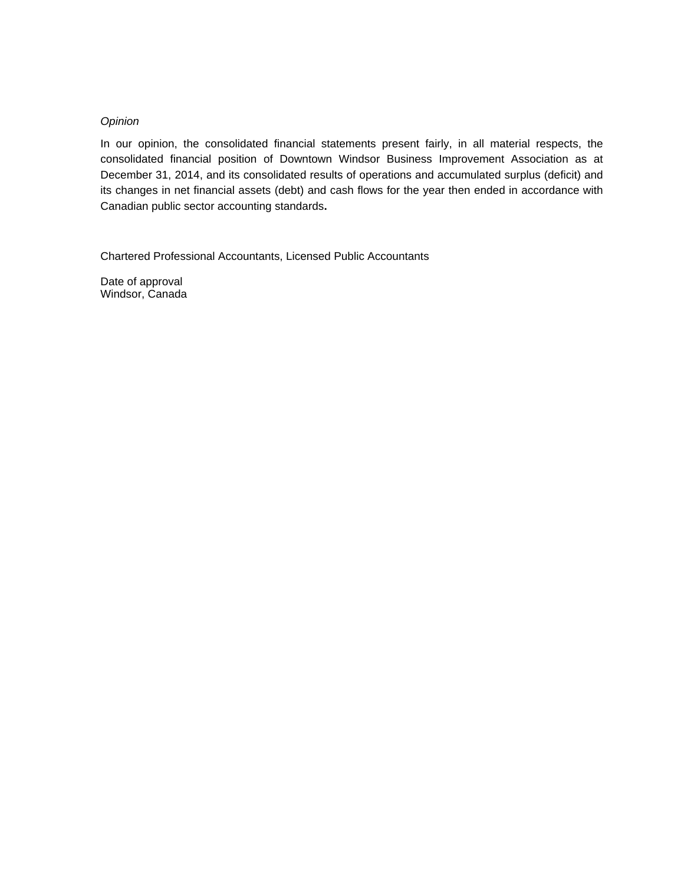#### *Opinion*

In our opinion, the consolidated financial statements present fairly, in all material respects, the consolidated financial position of Downtown Windsor Business Improvement Association as at December 31, 2014, and its consolidated results of operations and accumulated surplus (deficit) and its changes in net financial assets (debt) and cash flows for the year then ended in accordance with Canadian public sector accounting standards**.** 

Chartered Professional Accountants, Licensed Public Accountants

Date of approval Windsor, Canada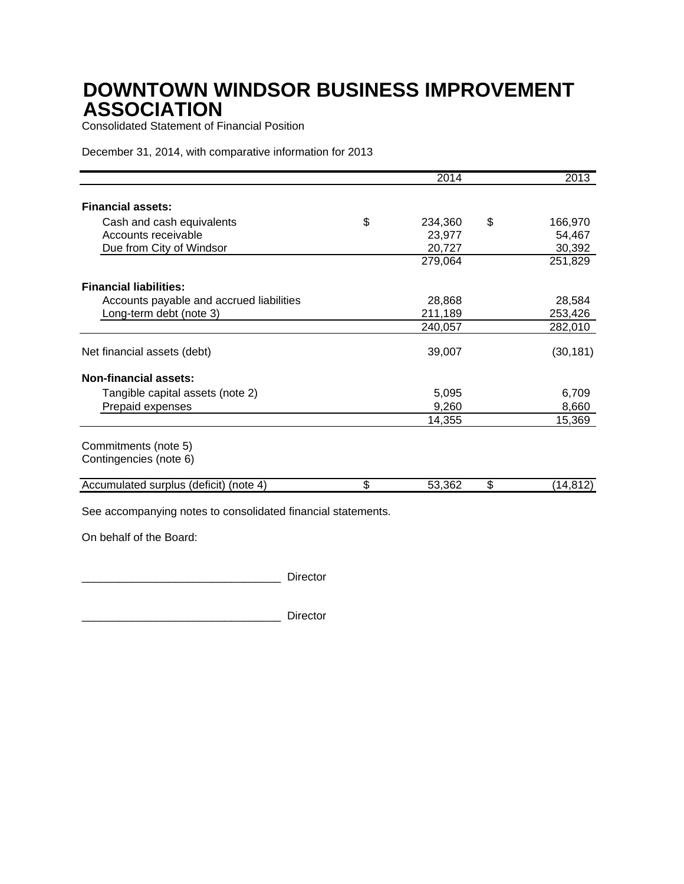Consolidated Statement of Financial Position

December 31, 2014, with comparative information for 2013

|                                                              | $\overline{2014}$ | 2013            |
|--------------------------------------------------------------|-------------------|-----------------|
| <b>Financial assets:</b>                                     |                   |                 |
| Cash and cash equivalents                                    | \$<br>234,360     | \$<br>166,970   |
| Accounts receivable                                          | 23,977            | 54,467          |
| Due from City of Windsor                                     | 20,727            | 30,392          |
|                                                              | 279,064           | 251,829         |
| <b>Financial liabilities:</b>                                |                   |                 |
| Accounts payable and accrued liabilities                     | 28,868            | 28,584          |
| Long-term debt (note 3)                                      | 211,189           | 253,426         |
|                                                              | 240,057           | 282,010         |
| Net financial assets (debt)                                  | 39,007            | (30, 181)       |
| <b>Non-financial assets:</b>                                 |                   |                 |
| Tangible capital assets (note 2)                             | 5,095             | 6,709           |
| Prepaid expenses                                             | 9,260             | 8,660           |
|                                                              | 14,355            | 15,369          |
| Commitments (note 5)<br>Contingencies (note 6)               |                   |                 |
| Accumulated surplus (deficit) (note 4)                       | \$<br>53,362      | \$<br>(14, 812) |
| See accompanying notes to consolidated financial statements. |                   |                 |

On behalf of the Board:

\_\_\_\_\_\_\_\_\_\_\_\_\_\_\_\_\_\_\_\_\_\_\_\_\_\_\_\_\_\_\_\_ Director

\_\_\_\_\_\_\_\_\_\_\_\_\_\_\_\_\_\_\_\_\_\_\_\_\_\_\_\_\_\_\_\_ Director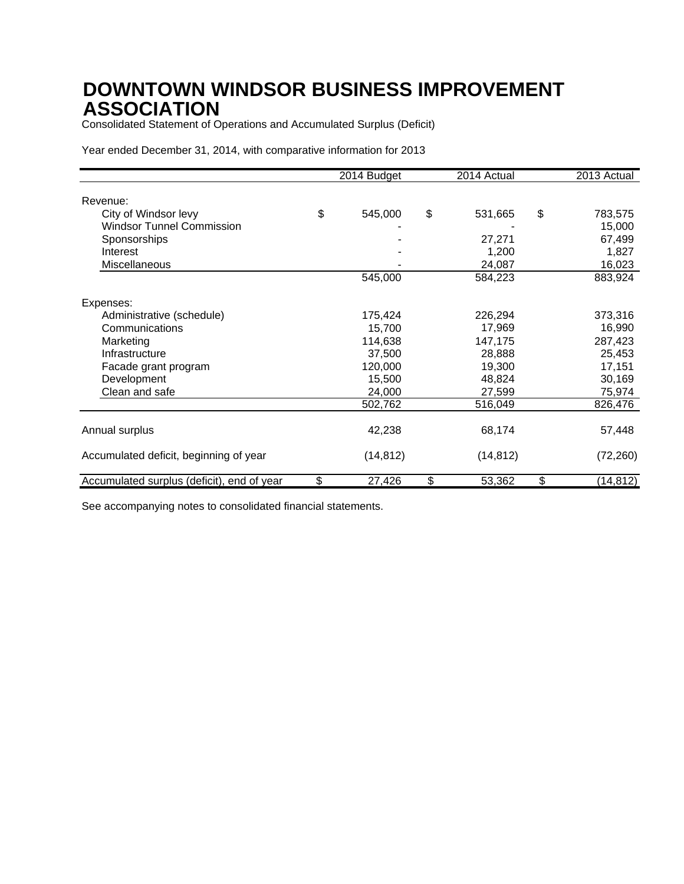Consolidated Statement of Operations and Accumulated Surplus (Deficit)

Year ended December 31, 2014, with comparative information for 2013

|                                            | 2014 Budget   | 2014 Actual   | 2013 Actual     |
|--------------------------------------------|---------------|---------------|-----------------|
| Revenue:                                   |               |               |                 |
| City of Windsor levy                       | \$<br>545,000 | \$<br>531,665 | \$<br>783,575   |
| <b>Windsor Tunnel Commission</b>           |               |               | 15,000          |
| Sponsorships                               |               | 27,271        | 67,499          |
| Interest                                   |               | 1.200         | 1,827           |
| Miscellaneous                              |               | 24,087        | 16,023          |
|                                            | 545,000       | 584,223       | 883,924         |
| Expenses:                                  |               |               |                 |
| Administrative (schedule)                  | 175,424       | 226,294       | 373,316         |
| Communications                             | 15,700        | 17,969        | 16,990          |
| Marketing                                  | 114,638       | 147,175       | 287,423         |
| Infrastructure                             | 37,500        | 28,888        | 25,453          |
| Facade grant program                       | 120,000       | 19,300        | 17,151          |
| Development                                | 15,500        | 48,824        | 30,169          |
| Clean and safe                             | 24,000        | 27,599        | 75,974          |
|                                            | 502,762       | 516,049       | 826,476         |
| Annual surplus                             | 42,238        | 68,174        | 57,448          |
| Accumulated deficit, beginning of year     | (14, 812)     | (14, 812)     | (72, 260)       |
| Accumulated surplus (deficit), end of year | \$<br>27,426  | \$<br>53,362  | \$<br>(14, 812) |

See accompanying notes to consolidated financial statements.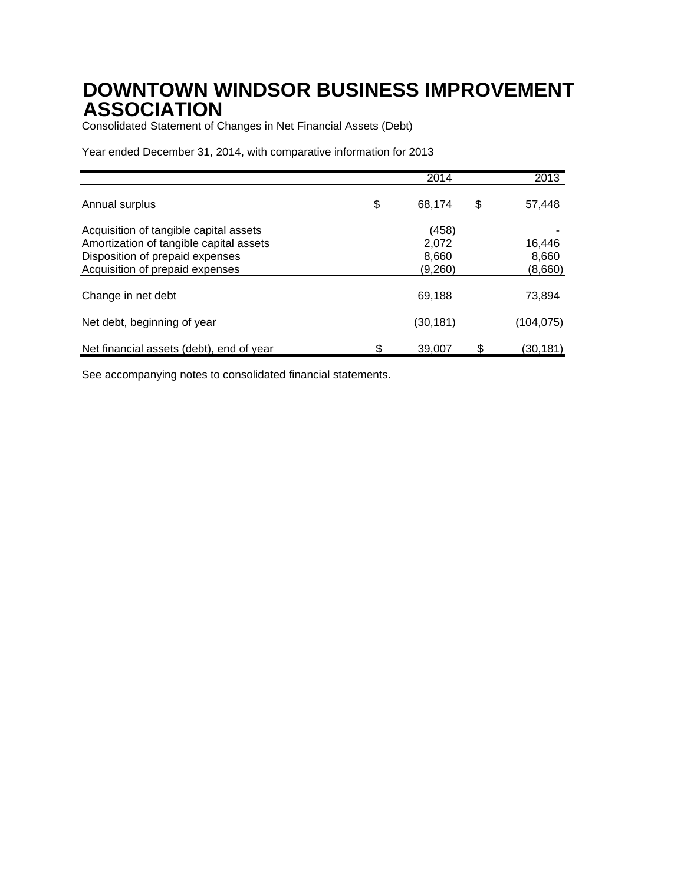Consolidated Statement of Changes in Net Financial Assets (Debt)

Year ended December 31, 2014, with comparative information for 2013

|                                                                                                                                                         | 2014                               | 2013                       |
|---------------------------------------------------------------------------------------------------------------------------------------------------------|------------------------------------|----------------------------|
| Annual surplus                                                                                                                                          | \$<br>68,174                       | \$<br>57,448               |
| Acquisition of tangible capital assets<br>Amortization of tangible capital assets<br>Disposition of prepaid expenses<br>Acquisition of prepaid expenses | (458)<br>2.072<br>8,660<br>(9,260) | 16,446<br>8,660<br>(8,660) |
| Change in net debt                                                                                                                                      | 69,188                             | 73,894                     |
| Net debt, beginning of year                                                                                                                             | (30, 181)                          | (104, 075)                 |
| Net financial assets (debt), end of year                                                                                                                | 39,007                             | \$<br>(30,181)             |

See accompanying notes to consolidated financial statements.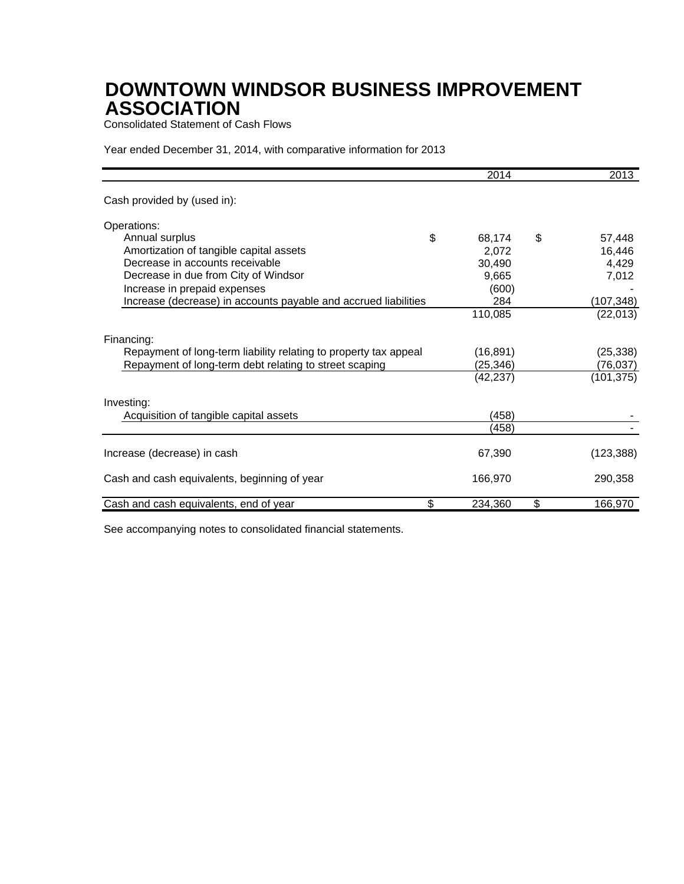Consolidated Statement of Cash Flows

Year ended December 31, 2014, with comparative information for 2013

|                                                                  | 2014          | 2013          |
|------------------------------------------------------------------|---------------|---------------|
| Cash provided by (used in):                                      |               |               |
| Operations:                                                      |               |               |
| Annual surplus                                                   | \$<br>68,174  | \$<br>57,448  |
| Amortization of tangible capital assets                          | 2,072         | 16,446        |
| Decrease in accounts receivable                                  | 30,490        | 4,429         |
| Decrease in due from City of Windsor                             | 9,665         | 7,012         |
| Increase in prepaid expenses                                     | (600)         |               |
| Increase (decrease) in accounts payable and accrued liabilities  | 284           | (107, 348)    |
|                                                                  | 110,085       | (22, 013)     |
|                                                                  |               |               |
| Financing:                                                       |               |               |
| Repayment of long-term liability relating to property tax appeal | (16, 891)     | (25, 338)     |
| Repayment of long-term debt relating to street scaping           | (25,346)      | (76,037)      |
|                                                                  | (42, 237)     | (101, 375)    |
|                                                                  |               |               |
| Investing:                                                       |               |               |
| Acquisition of tangible capital assets                           | (458)         |               |
|                                                                  | (458)         |               |
|                                                                  |               |               |
| Increase (decrease) in cash                                      | 67,390        | (123, 388)    |
|                                                                  |               |               |
| Cash and cash equivalents, beginning of year                     | 166,970       | 290,358       |
| Cash and cash equivalents, end of year                           | \$<br>234,360 | \$<br>166,970 |
|                                                                  |               |               |

See accompanying notes to consolidated financial statements.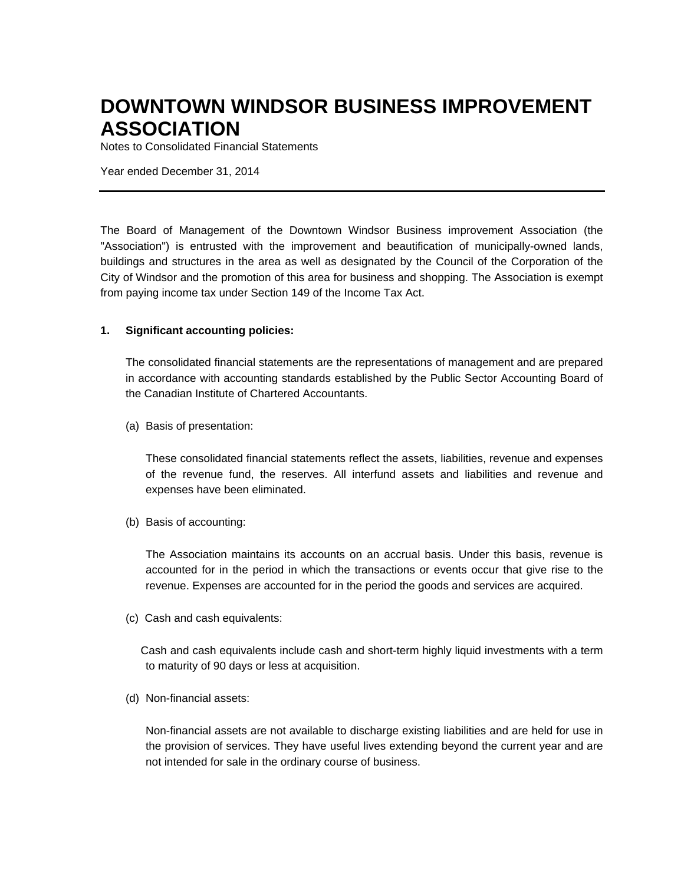Notes to Consolidated Financial Statements

Year ended December 31, 2014

The Board of Management of the Downtown Windsor Business improvement Association (the "Association") is entrusted with the improvement and beautification of municipally-owned lands, buildings and structures in the area as well as designated by the Council of the Corporation of the City of Windsor and the promotion of this area for business and shopping. The Association is exempt from paying income tax under Section 149 of the Income Tax Act.

### **1. Significant accounting policies:**

The consolidated financial statements are the representations of management and are prepared in accordance with accounting standards established by the Public Sector Accounting Board of the Canadian Institute of Chartered Accountants.

(a) Basis of presentation:

These consolidated financial statements reflect the assets, liabilities, revenue and expenses of the revenue fund, the reserves. All interfund assets and liabilities and revenue and expenses have been eliminated.

(b) Basis of accounting:

The Association maintains its accounts on an accrual basis. Under this basis, revenue is accounted for in the period in which the transactions or events occur that give rise to the revenue. Expenses are accounted for in the period the goods and services are acquired.

(c) Cash and cash equivalents:

Cash and cash equivalents include cash and short-term highly liquid investments with a term to maturity of 90 days or less at acquisition.

(d) Non-financial assets:

Non-financial assets are not available to discharge existing liabilities and are held for use in the provision of services. They have useful lives extending beyond the current year and are not intended for sale in the ordinary course of business.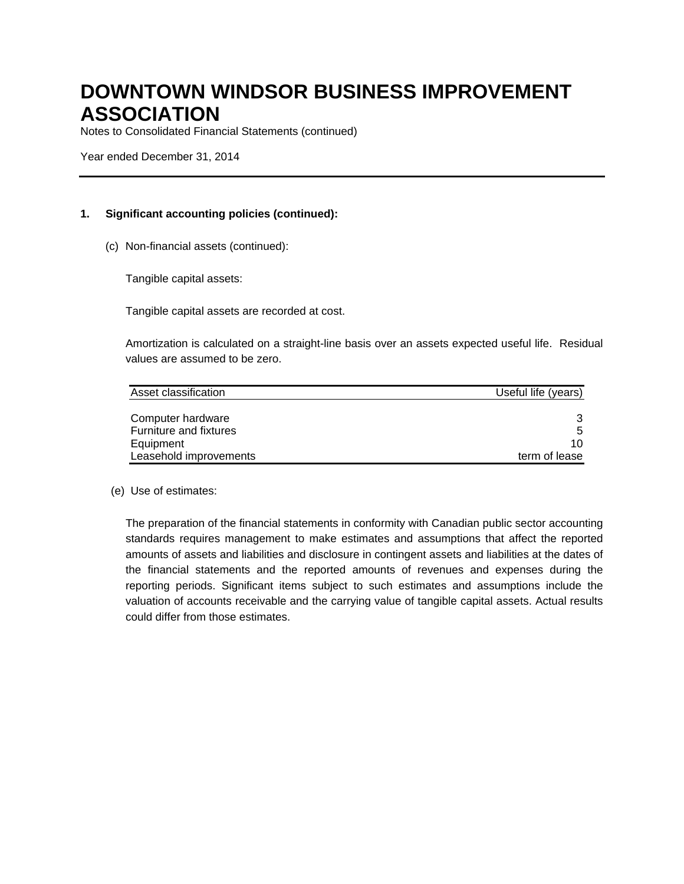Notes to Consolidated Financial Statements (continued)

Year ended December 31, 2014

## **1. Significant accounting policies (continued):**

(c) Non-financial assets (continued):

Tangible capital assets:

Tangible capital assets are recorded at cost.

Amortization is calculated on a straight-line basis over an assets expected useful life. Residual values are assumed to be zero.

| Asset classification   | Useful life (years) |
|------------------------|---------------------|
|                        |                     |
| Computer hardware      |                     |
| Furniture and fixtures | 5                   |
| Equipment              | 10                  |
| Leasehold improvements | term of lease       |

### (e) Use of estimates:

The preparation of the financial statements in conformity with Canadian public sector accounting standards requires management to make estimates and assumptions that affect the reported amounts of assets and liabilities and disclosure in contingent assets and liabilities at the dates of the financial statements and the reported amounts of revenues and expenses during the reporting periods. Significant items subject to such estimates and assumptions include the valuation of accounts receivable and the carrying value of tangible capital assets. Actual results could differ from those estimates.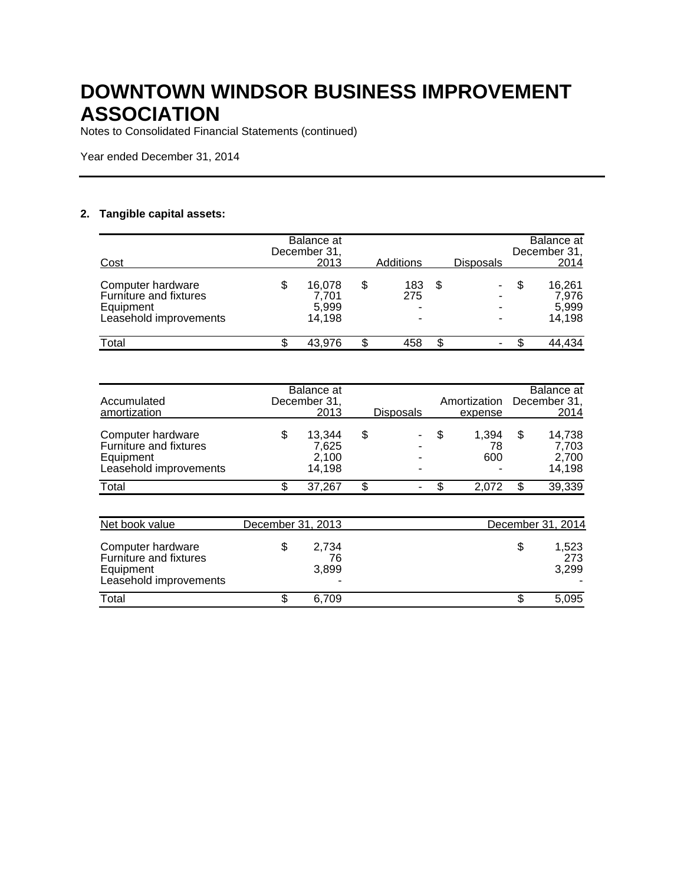Notes to Consolidated Financial Statements (continued)

Year ended December 31, 2014

## **2. Tangible capital assets:**

| Cost                                                                               |    | Balance at<br>December 31<br>2013  |   | Additions            |    | <b>Disposals</b> |   | Balance at<br>December 31,<br>2014 |
|------------------------------------------------------------------------------------|----|------------------------------------|---|----------------------|----|------------------|---|------------------------------------|
| Computer hardware<br>Furniture and fixtures<br>Equipment<br>Leasehold improvements | \$ | 16.078<br>7.701<br>5.999<br>14,198 | S | 183<br>275<br>-<br>۰ | \$ | -<br>-           | S | 16,261<br>7,976<br>5,999<br>14,198 |
| Total                                                                              | S  | 43.976                             |   | 458                  | S  | ٠                |   | 44,434                             |

| Accumulated<br>amortization                                                               |                   | Balance at<br>December 31,<br>2013 | <b>Disposals</b> | Amortization<br>expense  | Balance at<br>December 31,<br>2014       |
|-------------------------------------------------------------------------------------------|-------------------|------------------------------------|------------------|--------------------------|------------------------------------------|
| Computer hardware<br><b>Furniture and fixtures</b><br>Equipment<br>Leasehold improvements | \$                | 13,344<br>7,625<br>2,100<br>14,198 | \$               | \$<br>1,394<br>78<br>600 | \$<br>14,738<br>7,703<br>2,700<br>14,198 |
| Total                                                                                     | \$                | 37,267                             | \$               | \$<br>2,072              | \$<br>39,339                             |
| Net book value                                                                            | December 31, 2013 |                                    |                  |                          | December 31, 2014                        |
| Computer hardware<br>Furniture and fixtures<br>Equipment<br>Leasehold improvements        | \$                | 2,734<br>76<br>3,899               |                  |                          | \$<br>1,523<br>273<br>3,299              |
| Total                                                                                     | \$                | 6,709                              |                  |                          | \$<br>5,095                              |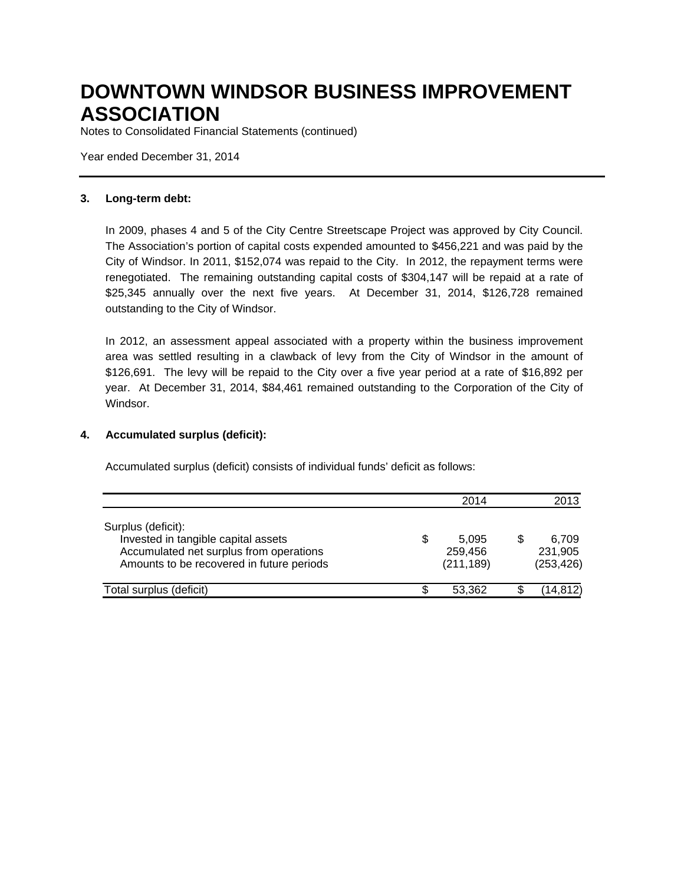Notes to Consolidated Financial Statements (continued)

Year ended December 31, 2014

### **3. Long-term debt:**

In 2009, phases 4 and 5 of the City Centre Streetscape Project was approved by City Council. The Association's portion of capital costs expended amounted to \$456,221 and was paid by the City of Windsor. In 2011, \$152,074 was repaid to the City. In 2012, the repayment terms were renegotiated. The remaining outstanding capital costs of \$304,147 will be repaid at a rate of \$25,345 annually over the next five years. At December 31, 2014, \$126,728 remained outstanding to the City of Windsor.

In 2012, an assessment appeal associated with a property within the business improvement area was settled resulting in a clawback of levy from the City of Windsor in the amount of \$126,691. The levy will be repaid to the City over a five year period at a rate of \$16,892 per year. At December 31, 2014, \$84,461 remained outstanding to the Corporation of the City of Windsor.

### **4. Accumulated surplus (deficit):**

Accumulated surplus (deficit) consists of individual funds' deficit as follows:

|                                                                                                                                                   |   | 2014                           | 2013                           |
|---------------------------------------------------------------------------------------------------------------------------------------------------|---|--------------------------------|--------------------------------|
| Surplus (deficit):<br>Invested in tangible capital assets<br>Accumulated net surplus from operations<br>Amounts to be recovered in future periods | S | 5.095<br>259,456<br>(211, 189) | 6.709<br>231,905<br>(253, 426) |
| Total surplus (deficit)                                                                                                                           | S | 53.362                         | (14, 812)                      |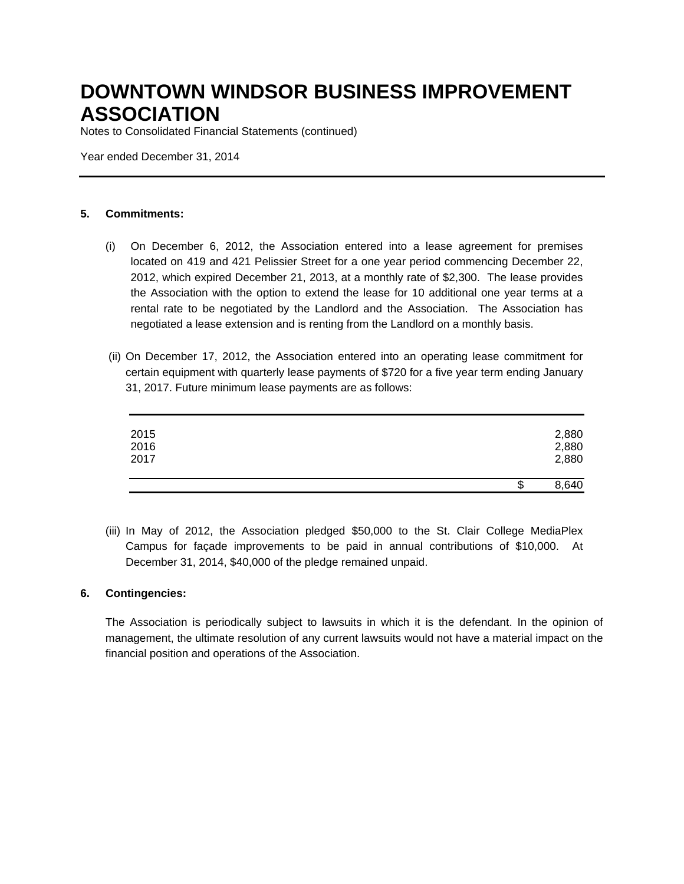Notes to Consolidated Financial Statements (continued)

Year ended December 31, 2014

### **5. Commitments:**

- (i) On December 6, 2012, the Association entered into a lease agreement for premises located on 419 and 421 Pelissier Street for a one year period commencing December 22, 2012, which expired December 21, 2013, at a monthly rate of \$2,300. The lease provides the Association with the option to extend the lease for 10 additional one year terms at a rental rate to be negotiated by the Landlord and the Association. The Association has negotiated a lease extension and is renting from the Landlord on a monthly basis.
- (ii) On December 17, 2012, the Association entered into an operating lease commitment for certain equipment with quarterly lease payments of \$720 for a five year term ending January 31, 2017. Future minimum lease payments are as follows:

| 2015<br>2016<br>2017 |   | 2,880<br>2,880<br>2,880 |
|----------------------|---|-------------------------|
|                      | S | 8,640                   |

(iii) In May of 2012, the Association pledged \$50,000 to the St. Clair College MediaPlex Campus for façade improvements to be paid in annual contributions of \$10,000. At December 31, 2014, \$40,000 of the pledge remained unpaid.

### **6. Contingencies:**

The Association is periodically subject to lawsuits in which it is the defendant. In the opinion of management, the ultimate resolution of any current lawsuits would not have a material impact on the financial position and operations of the Association.